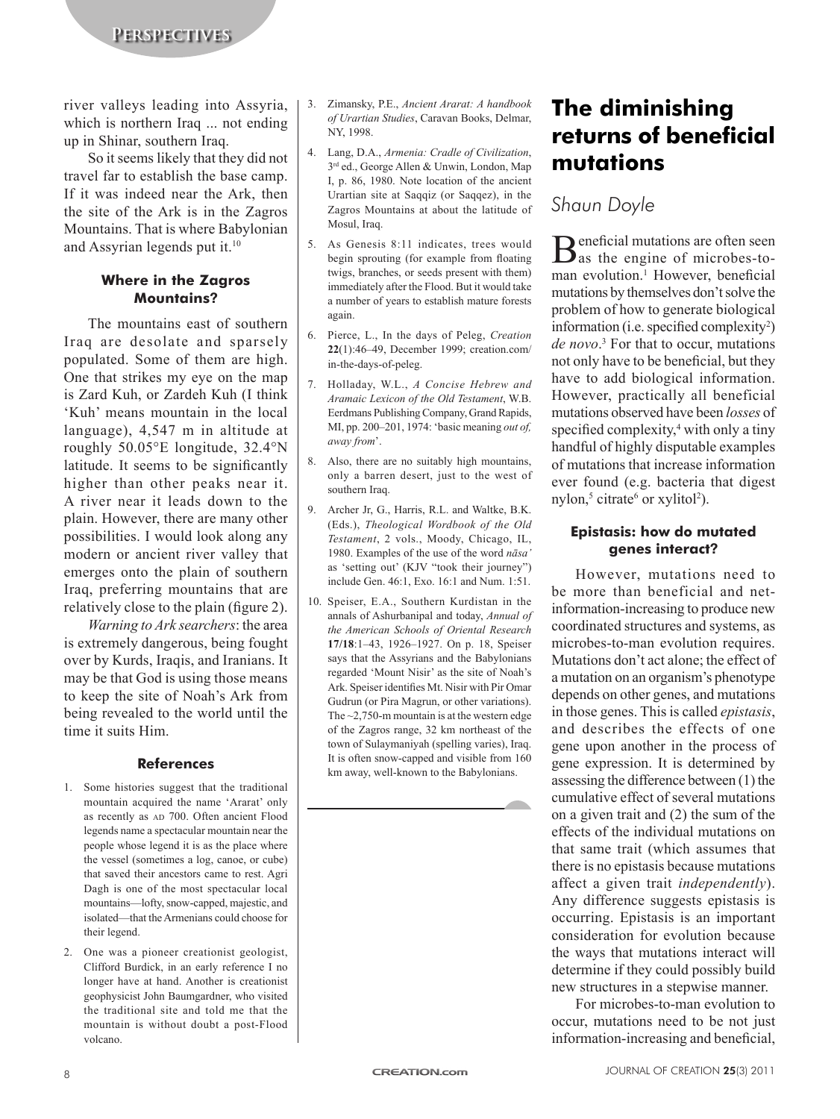river valleys leading into Assyria, which is northern Iraq ... not ending up in Shinar, southern Iraq.

So it seems likely that they did not travel far to establish the base camp. If it was indeed near the Ark, then the site of the Ark is in the Zagros Mountains. That is where Babylonian and Assyrian legends put it.10

#### **Where in the Zagros Mountains?**

The mountains east of southern Iraq are desolate and sparsely populated. Some of them are high. One that strikes my eye on the map is Zard Kuh, or Zardeh Kuh (I think 'Kuh' means mountain in the local language), 4,547 m in altitude at roughly 50.05°E longitude, 32.4°N latitude. It seems to be significantly higher than other peaks near it. A river near it leads down to the plain. However, there are many other possibilities. I would look along any modern or ancient river valley that emerges onto the plain of southern Iraq, preferring mountains that are relatively close to the plain (figure 2).

*Warning to Ark searchers*: the area is extremely dangerous, being fought over by Kurds, Iraqis, and Iranians. It may be that God is using those means to keep the site of Noah's Ark from being revealed to the world until the time it suits Him.

#### **References**

- 1. Some histories suggest that the traditional mountain acquired the name 'Ararat' only as recently as AD 700. Often ancient Flood legends name a spectacular mountain near the people whose legend it is as the place where the vessel (sometimes a log, canoe, or cube) that saved their ancestors came to rest. Agri Dagh is one of the most spectacular local mountains—lofty, snow-capped, majestic, and isolated—that the Armenians could choose for their legend.
- 2. One was a pioneer creationist geologist, Clifford Burdick, in an early reference I no longer have at hand. Another is creationist geophysicist John Baumgardner, who visited the traditional site and told me that the mountain is without doubt a post-Flood volcano.
- 3. Zimansky, P.E., *Ancient Ararat: A handbook of Urartian Studies*, Caravan Books, Delmar, NY, 1998.
- 4. Lang, D.A., *Armenia: Cradle of Civilization*, 3rd ed., George Allen & Unwin, London, Map I, p. 86, 1980. Note location of the ancient Urartian site at Saqqiz (or Saqqez), in the Zagros Mountains at about the latitude of Mosul, Iraq.
- 5. As Genesis 8:11 indicates, trees would begin sprouting (for example from floating twigs, branches, or seeds present with them) immediately after the Flood. But it would take a number of years to establish mature forests again.
- 6. Pierce, L., In the days of Peleg, *Creation* **22**(1):46–49, December 1999; creation.com/ in-the-days-of-peleg.
- 7. Holladay, W.L., *A Concise Hebrew and Aramaic Lexicon of the Old Testament*, W.B. Eerdmans Publishing Company, Grand Rapids, MI, pp. 200–201, 1974: 'basic meaning *out of, away from*'.
- 8. Also, there are no suitably high mountains, only a barren desert, just to the west of southern Iraq.
- 9. Archer Jr, G., Harris, R.L. and Waltke, B.K. (Eds.), *Theological Wordbook of the Old Testament*, 2 vols., Moody, Chicago, IL, 1980. Examples of the use of the word *nāsa'* as 'setting out' (KJV "took their journey") include Gen. 46:1, Exo. 16:1 and Num. 1:51.
- 10. Speiser, E.A., Southern Kurdistan in the annals of Ashurbanipal and today, *Annual of the American Schools of Oriental Research* **17/18**:1–43, 1926–1927. On p. 18, Speiser says that the Assyrians and the Babylonians regarded 'Mount Nisir' as the site of Noah's Ark. Speiser identifies Mt. Nisir with Pir Omar Gudrun (or Pira Magrun, or other variations). The ~2,750-m mountain is at the western edge of the Zagros range, 32 km northeast of the town of Sulaymaniyah (spelling varies), Iraq. It is often snow-capped and visible from 160 km away, well-known to the Babylonians.

# **The diminishing returns of beneficial mutations**

## *Shaun Doyle*

Beneficial mutations are often seen as the engine of microbes-toman evolution.<sup>1</sup> However, beneficial mutations by themselves don't solve the problem of how to generate biological information (i.e. specified complexity<sup>2</sup>) *de novo*. 3 For that to occur, mutations not only have to be beneficial, but they have to add biological information. However, practically all beneficial mutations observed have been *losses* of specified complexity,<sup>4</sup> with only a tiny handful of highly disputable examples of mutations that increase information ever found (e.g. bacteria that digest nylon,<sup>5</sup> citrate<sup>6</sup> or xylitol<sup>2</sup>).

#### **Epistasis: how do mutated genes interact?**

However, mutations need to be more than beneficial and netinformation-increasing to produce new coordinated structures and systems, as microbes-to-man evolution requires. Mutations don't act alone; the effect of a mutation on an organism's phenotype depends on other genes, and mutations in those genes. This is called *epistasis*, and describes the effects of one gene upon another in the process of gene expression. It is determined by assessing the difference between (1) the cumulative effect of several mutations on a given trait and (2) the sum of the effects of the individual mutations on that same trait (which assumes that there is no epistasis because mutations affect a given trait *independently*). Any difference suggests epistasis is occurring. Epistasis is an important consideration for evolution because the ways that mutations interact will determine if they could possibly build new structures in a stepwise manner.

For microbes-to-man evolution to occur, mutations need to be not just information-increasing and beneficial,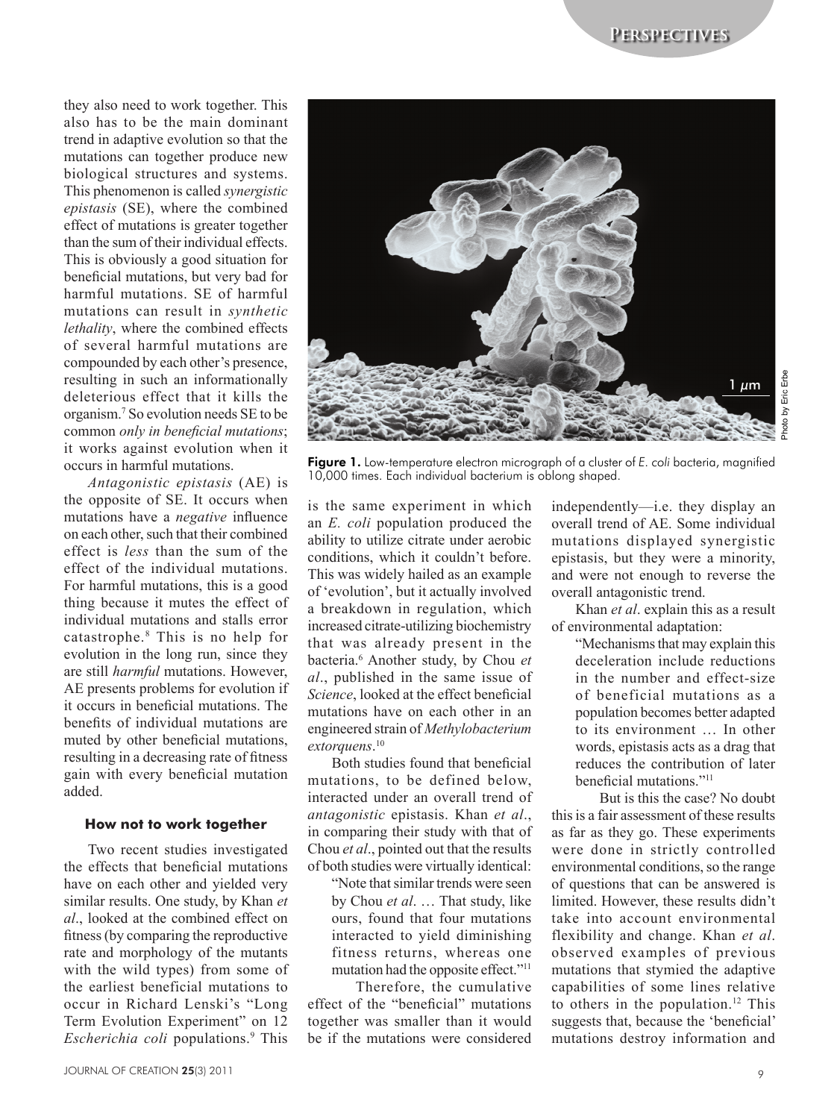they also need to work together. This also has to be the main dominant trend in adaptive evolution so that the mutations can together produce new biological structures and systems. This phenomenon is called *synergistic epistasis* (SE), where the combined effect of mutations is greater together than the sum of their individual effects. This is obviously a good situation for beneficial mutations, but very bad for harmful mutations. SE of harmful mutations can result in *synthetic lethality*, where the combined effects of several harmful mutations are compounded by each other's presence, resulting in such an informationally deleterious effect that it kills the organism.<sup>7</sup> So evolution needs SE to be common *only in beneficial mutations*; it works against evolution when it occurs in harmful mutations.

*Antagonistic epistasis* (AE) is the opposite of SE. It occurs when mutations have a *negative* influence on each other, such that their combined effect is *less* than the sum of the effect of the individual mutations. For harmful mutations, this is a good thing because it mutes the effect of individual mutations and stalls error catastrophe.8 This is no help for evolution in the long run, since they are still *harmful* mutations. However, AE presents problems for evolution if it occurs in beneficial mutations. The benefits of individual mutations are muted by other beneficial mutations, resulting in a decreasing rate of fitness gain with every beneficial mutation added.

#### **How not to work together**

Two recent studies investigated the effects that beneficial mutations have on each other and yielded very similar results. One study, by Khan *et al*., looked at the combined effect on fitness (by comparing the reproductive rate and morphology of the mutants with the wild types) from some of the earliest beneficial mutations to occur in Richard Lenski's "Long Term Evolution Experiment" on 12 Escherichia coli populations.<sup>9</sup> This



Photo by Eric Erbe

Figure 1. Low-temperature electron micrograph of a cluster of *E. coli* bacteria, magnified 10,000 times. Each individual bacterium is oblong shaped.

is the same experiment in which an *E. coli* population produced the ability to utilize citrate under aerobic conditions, which it couldn't before. This was widely hailed as an example of 'evolution', but it actually involved a breakdown in regulation, which increased citrate-utilizing biochemistry that was already present in the bacteria.6 Another study, by Chou *et al*., published in the same issue of *Science*, looked at the effect beneficial mutations have on each other in an engineered strain of *Methylobacterium extorquens*. 10

Both studies found that beneficial mutations, to be defined below, interacted under an overall trend of *antagonistic* epistasis. Khan *et al*., in comparing their study with that of Chou *et al*., pointed out that the results of both studies were virtually identical:

"Note that similar trends were seen by Chou *et al*. … That study, like ours, found that four mutations interacted to yield diminishing fitness returns, whereas one mutation had the opposite effect."11

Therefore, the cumulative effect of the "beneficial" mutations together was smaller than it would be if the mutations were considered

independently—i.e. they display an overall trend of AE. Some individual mutations displayed synergistic epistasis, but they were a minority, and were not enough to reverse the overall antagonistic trend.

Khan *et al*. explain this as a result of environmental adaptation:

> "Mechanisms that may explain this deceleration include reductions in the number and effect-size of beneficial mutations as a population becomes better adapted to its environment … In other words, epistasis acts as a drag that reduces the contribution of later beneficial mutations."<sup>11</sup>

But is this the case? No doubt this is a fair assessment of these results as far as they go. These experiments were done in strictly controlled environmental conditions, so the range of questions that can be answered is limited. However, these results didn't take into account environmental flexibility and change. Khan *et al*. observed examples of previous mutations that stymied the adaptive capabilities of some lines relative to others in the population.<sup>12</sup> This suggests that, because the 'beneficial' mutations destroy information and